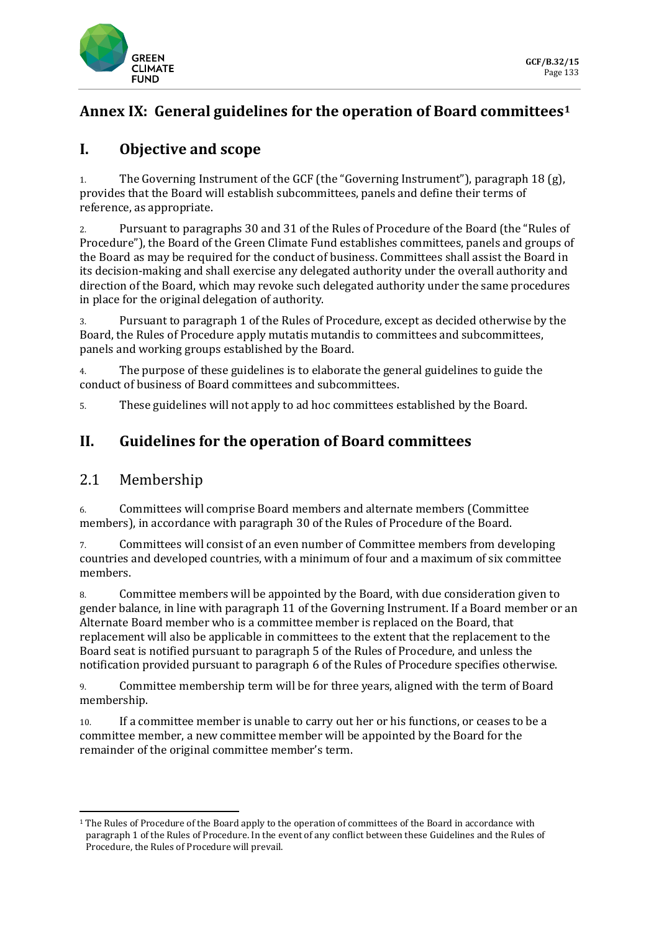

# **Annex IX: General guidelines for the operation of Board committees[1](#page-0-0)**

# **I. Objective and scope**

1. The Governing Instrument of the GCF (the "Governing Instrument"), paragraph 18 (g), provides that the Board will establish subcommittees, panels and define their terms of reference, as appropriate.

2. Pursuant to paragraphs 30 and 31 of the Rules of Procedure of the Board (the "Rules of Procedure"), the Board of the Green Climate Fund establishes committees, panels and groups of the Board as may be required for the conduct of business. Committees shall assist the Board in its decision-making and shall exercise any delegated authority under the overall authority and direction of the Board, which may revoke such delegated authority under the same procedures in place for the original delegation of authority.

3. Pursuant to paragraph 1 of the Rules of Procedure, except as decided otherwise by the Board, the Rules of Procedure apply mutatis mutandis to committees and subcommittees, panels and working groups established by the Board.

4. The purpose of these guidelines is to elaborate the general guidelines to guide the conduct of business of Board committees and subcommittees.

5. These guidelines will not apply to ad hoc committees established by the Board.

### **II. Guidelines for the operation of Board committees**

#### 2.1 Membership

6. Committees will comprise Board members and alternate members (Committee members), in accordance with paragraph 30 of the Rules of Procedure of the Board.

7. Committees will consist of an even number of Committee members from developing countries and developed countries, with a minimum of four and a maximum of six committee members.

8. Committee members will be appointed by the Board, with due consideration given to gender balance, in line with paragraph 11 of the Governing Instrument. If a Board member or an Alternate Board member who is a committee member is replaced on the Board, that replacement will also be applicable in committees to the extent that the replacement to the Board seat is notified pursuant to paragraph 5 of the Rules of Procedure, and unless the notification provided pursuant to paragraph 6 of the Rules of Procedure specifies otherwise.

9. Committee membership term will be for three years, aligned with the term of Board membership.

10. If a committee member is unable to carry out her or his functions, or ceases to be a committee member, a new committee member will be appointed by the Board for the remainder of the original committee member's term.

<span id="page-0-0"></span><sup>1</sup> The Rules of Procedure of the Board apply to the operation of committees of the Board in accordance with paragraph 1 of the Rules of Procedure. In the event of any conflict between these Guidelines and the Rules of Procedure, the Rules of Procedure will prevail.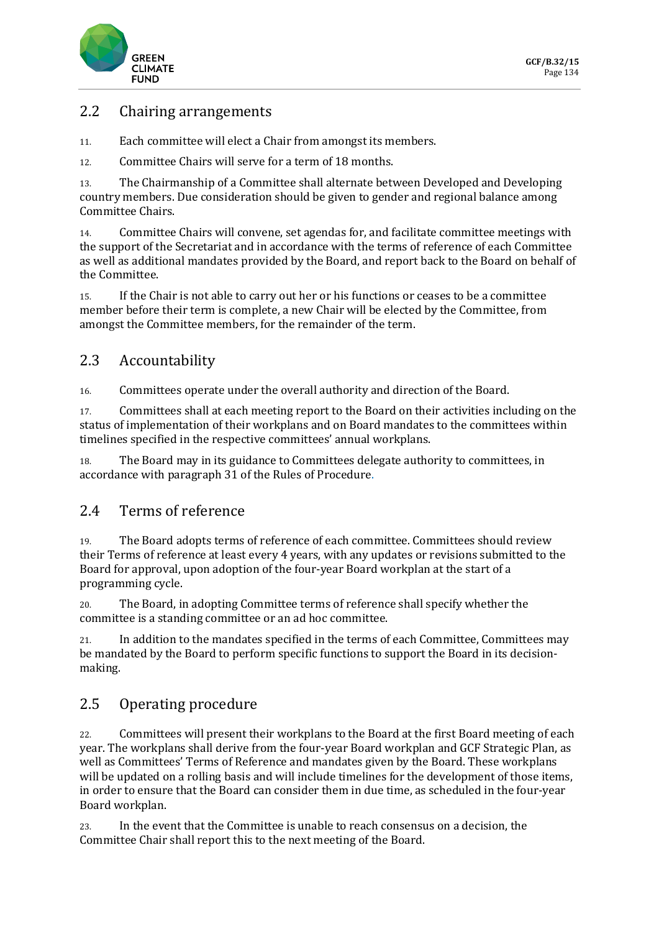

### 2.2 Chairing arrangements

- 11. Each committee will elect a Chair from amongst its members.
- 12. Committee Chairs will serve for a term of 18 months.

13. The Chairmanship of a Committee shall alternate between Developed and Developing country members. Due consideration should be given to gender and regional balance among Committee Chairs.

14. Committee Chairs will convene, set agendas for, and facilitate committee meetings with the support of the Secretariat and in accordance with the terms of reference of each Committee as well as additional mandates provided by the Board, and report back to the Board on behalf of the Committee.

15. If the Chair is not able to carry out her or his functions or ceases to be a committee member before their term is complete, a new Chair will be elected by the Committee, from amongst the Committee members, for the remainder of the term.

### 2.3 Accountability

16. Committees operate under the overall authority and direction of the Board.

17. Committees shall at each meeting report to the Board on their activities including on the status of implementation of their workplans and on Board mandates to the committees within timelines specified in the respective committees' annual workplans.

18. The Board may in its guidance to Committees delegate authority to committees, in accordance with paragraph 31 of the Rules of Procedure.

### 2.4 Terms of reference

19. The Board adopts terms of reference of each committee. Committees should review their Terms of reference at least every 4 years, with any updates or revisions submitted to the Board for approval, upon adoption of the four-year Board workplan at the start of a programming cycle.

20. The Board, in adopting Committee terms of reference shall specify whether the committee is a standing committee or an ad hoc committee.

21. In addition to the mandates specified in the terms of each Committee, Committees may be mandated by the Board to perform specific functions to support the Board in its decisionmaking.

### 2.5 Operating procedure

22. Committees will present their workplans to the Board at the first Board meeting of each year. The workplans shall derive from the four-year Board workplan and GCF Strategic Plan, as well as Committees' Terms of Reference and mandates given by the Board. These workplans will be updated on a rolling basis and will include timelines for the development of those items, in order to ensure that the Board can consider them in due time, as scheduled in the four-year Board workplan.

23. In the event that the Committee is unable to reach consensus on a decision, the Committee Chair shall report this to the next meeting of the Board.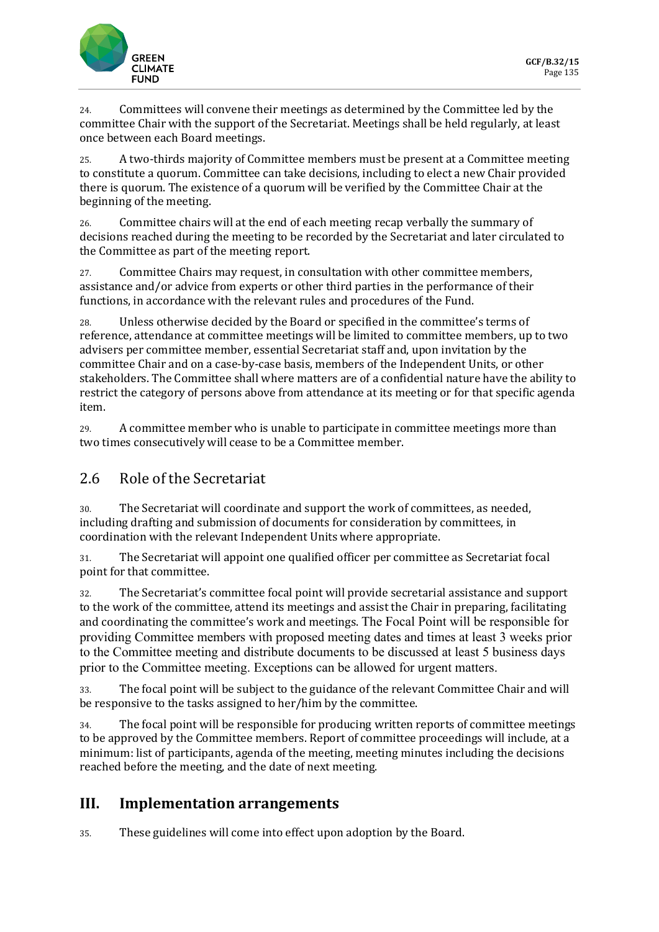

24. Committees will convene their meetings as determined by the Committee led by the committee Chair with the support of the Secretariat. Meetings shall be held regularly, at least once between each Board meetings.

25. A two-thirds majority of Committee members must be present at a Committee meeting to constitute a quorum. Committee can take decisions, including to elect a new Chair provided there is quorum. The existence of a quorum will be verified by the Committee Chair at the beginning of the meeting.

26. Committee chairs will at the end of each meeting recap verbally the summary of decisions reached during the meeting to be recorded by the Secretariat and later circulated to the Committee as part of the meeting report.

27. Committee Chairs may request, in consultation with other committee members, assistance and/or advice from experts or other third parties in the performance of their functions, in accordance with the relevant rules and procedures of the Fund.

28. Unless otherwise decided by the Board or specified in the committee's terms of reference, attendance at committee meetings will be limited to committee members, up to two advisers per committee member, essential Secretariat staff and, upon invitation by the committee Chair and on a case-by-case basis, members of the Independent Units, or other stakeholders. The Committee shall where matters are of a confidential nature have the ability to restrict the category of persons above from attendance at its meeting or for that specific agenda item.

29. A committee member who is unable to participate in committee meetings more than two times consecutively will cease to be a Committee member.

### 2.6 Role of the Secretariat

30. The Secretariat will coordinate and support the work of committees, as needed, including drafting and submission of documents for consideration by committees, in coordination with the relevant Independent Units where appropriate.

31. The Secretariat will appoint one qualified officer per committee as Secretariat focal point for that committee.

32. The Secretariat's committee focal point will provide secretarial assistance and support to the work of the committee, attend its meetings and assist the Chair in preparing, facilitating and coordinating the committee's work and meetings. The Focal Point will be responsible for providing Committee members with proposed meeting dates and times at least 3 weeks prior to the Committee meeting and distribute documents to be discussed at least 5 business days prior to the Committee meeting. Exceptions can be allowed for urgent matters.

33. The focal point will be subject to the guidance of the relevant Committee Chair and will be responsive to the tasks assigned to her/him by the committee.

34. The focal point will be responsible for producing written reports of committee meetings to be approved by the Committee members. Report of committee proceedings will include, at a minimum: list of participants, agenda of the meeting, meeting minutes including the decisions reached before the meeting, and the date of next meeting.

### **III. Implementation arrangements**

35. These guidelines will come into effect upon adoption by the Board.